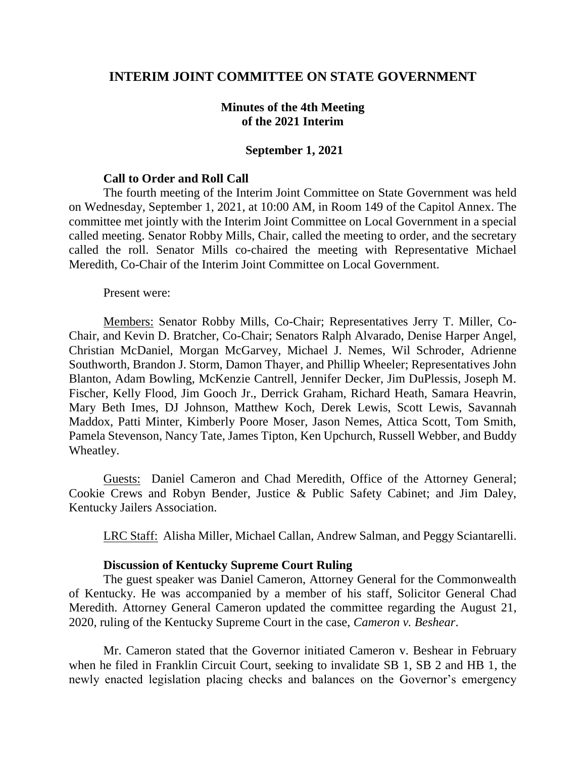# **INTERIM JOINT COMMITTEE ON STATE GOVERNMENT**

# **Minutes of the 4th Meeting of the 2021 Interim**

### **September 1, 2021**

#### **Call to Order and Roll Call**

The fourth meeting of the Interim Joint Committee on State Government was held on Wednesday, September 1, 2021, at 10:00 AM, in Room 149 of the Capitol Annex. The committee met jointly with the Interim Joint Committee on Local Government in a special called meeting. Senator Robby Mills, Chair, called the meeting to order, and the secretary called the roll. Senator Mills co-chaired the meeting with Representative Michael Meredith, Co-Chair of the Interim Joint Committee on Local Government.

Present were:

Members: Senator Robby Mills, Co-Chair; Representatives Jerry T. Miller, Co-Chair, and Kevin D. Bratcher, Co-Chair; Senators Ralph Alvarado, Denise Harper Angel, Christian McDaniel, Morgan McGarvey, Michael J. Nemes, Wil Schroder, Adrienne Southworth, Brandon J. Storm, Damon Thayer, and Phillip Wheeler; Representatives John Blanton, Adam Bowling, McKenzie Cantrell, Jennifer Decker, Jim DuPlessis, Joseph M. Fischer, Kelly Flood, Jim Gooch Jr., Derrick Graham, Richard Heath, Samara Heavrin, Mary Beth Imes, DJ Johnson, Matthew Koch, Derek Lewis, Scott Lewis, Savannah Maddox, Patti Minter, Kimberly Poore Moser, Jason Nemes, Attica Scott, Tom Smith, Pamela Stevenson, Nancy Tate, James Tipton, Ken Upchurch, Russell Webber, and Buddy Wheatley.

Guests: Daniel Cameron and Chad Meredith, Office of the Attorney General; Cookie Crews and Robyn Bender, Justice & Public Safety Cabinet; and Jim Daley, Kentucky Jailers Association.

LRC Staff: Alisha Miller, Michael Callan, Andrew Salman, and Peggy Sciantarelli.

### **Discussion of Kentucky Supreme Court Ruling**

The guest speaker was Daniel Cameron, Attorney General for the Commonwealth of Kentucky. He was accompanied by a member of his staff, Solicitor General Chad Meredith. Attorney General Cameron updated the committee regarding the August 21, 2020, ruling of the Kentucky Supreme Court in the case, *Cameron v. Beshear*.

Mr. Cameron stated that the Governor initiated Cameron v. Beshear in February when he filed in Franklin Circuit Court, seeking to invalidate SB 1, SB 2 and HB 1, the newly enacted legislation placing checks and balances on the Governor's emergency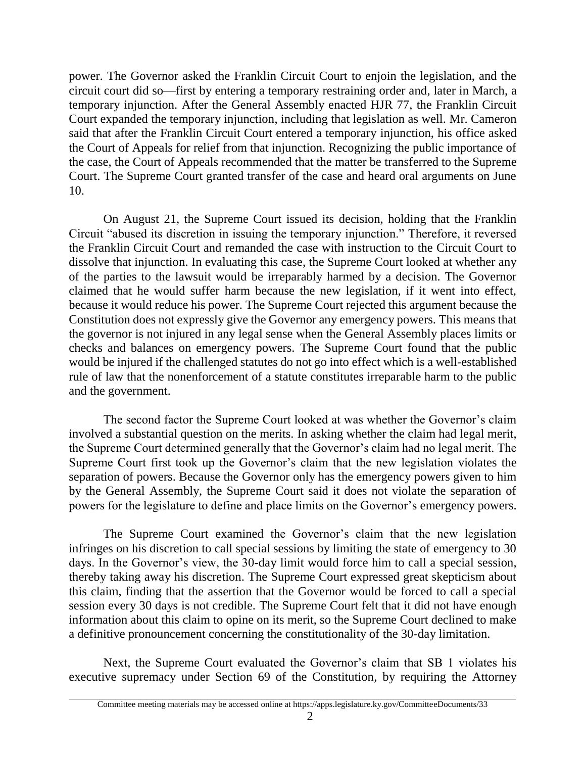power. The Governor asked the Franklin Circuit Court to enjoin the legislation, and the circuit court did so—first by entering a temporary restraining order and, later in March, a temporary injunction. After the General Assembly enacted HJR 77, the Franklin Circuit Court expanded the temporary injunction, including that legislation as well. Mr. Cameron said that after the Franklin Circuit Court entered a temporary injunction, his office asked the Court of Appeals for relief from that injunction. Recognizing the public importance of the case, the Court of Appeals recommended that the matter be transferred to the Supreme Court. The Supreme Court granted transfer of the case and heard oral arguments on June 10.

On August 21, the Supreme Court issued its decision, holding that the Franklin Circuit "abused its discretion in issuing the temporary injunction." Therefore, it reversed the Franklin Circuit Court and remanded the case with instruction to the Circuit Court to dissolve that injunction. In evaluating this case, the Supreme Court looked at whether any of the parties to the lawsuit would be irreparably harmed by a decision. The Governor claimed that he would suffer harm because the new legislation, if it went into effect, because it would reduce his power. The Supreme Court rejected this argument because the Constitution does not expressly give the Governor any emergency powers. This means that the governor is not injured in any legal sense when the General Assembly places limits or checks and balances on emergency powers. The Supreme Court found that the public would be injured if the challenged statutes do not go into effect which is a well-established rule of law that the nonenforcement of a statute constitutes irreparable harm to the public and the government.

The second factor the Supreme Court looked at was whether the Governor's claim involved a substantial question on the merits. In asking whether the claim had legal merit, the Supreme Court determined generally that the Governor's claim had no legal merit. The Supreme Court first took up the Governor's claim that the new legislation violates the separation of powers. Because the Governor only has the emergency powers given to him by the General Assembly, the Supreme Court said it does not violate the separation of powers for the legislature to define and place limits on the Governor's emergency powers.

The Supreme Court examined the Governor's claim that the new legislation infringes on his discretion to call special sessions by limiting the state of emergency to 30 days. In the Governor's view, the 30-day limit would force him to call a special session, thereby taking away his discretion. The Supreme Court expressed great skepticism about this claim, finding that the assertion that the Governor would be forced to call a special session every 30 days is not credible. The Supreme Court felt that it did not have enough information about this claim to opine on its merit, so the Supreme Court declined to make a definitive pronouncement concerning the constitutionality of the 30-day limitation.

Next, the Supreme Court evaluated the Governor's claim that SB 1 violates his executive supremacy under Section 69 of the Constitution, by requiring the Attorney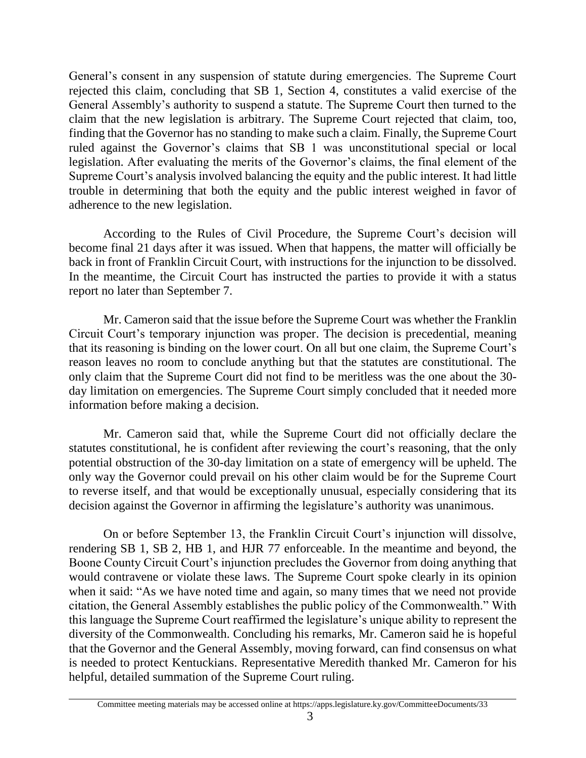General's consent in any suspension of statute during emergencies. The Supreme Court rejected this claim, concluding that SB 1, Section 4, constitutes a valid exercise of the General Assembly's authority to suspend a statute. The Supreme Court then turned to the claim that the new legislation is arbitrary. The Supreme Court rejected that claim, too, finding that the Governor has no standing to make such a claim. Finally, the Supreme Court ruled against the Governor's claims that SB 1 was unconstitutional special or local legislation. After evaluating the merits of the Governor's claims, the final element of the Supreme Court's analysis involved balancing the equity and the public interest. It had little trouble in determining that both the equity and the public interest weighed in favor of adherence to the new legislation.

According to the Rules of Civil Procedure, the Supreme Court's decision will become final 21 days after it was issued. When that happens, the matter will officially be back in front of Franklin Circuit Court, with instructions for the injunction to be dissolved. In the meantime, the Circuit Court has instructed the parties to provide it with a status report no later than September 7.

Mr. Cameron said that the issue before the Supreme Court was whether the Franklin Circuit Court's temporary injunction was proper. The decision is precedential, meaning that its reasoning is binding on the lower court. On all but one claim, the Supreme Court's reason leaves no room to conclude anything but that the statutes are constitutional. The only claim that the Supreme Court did not find to be meritless was the one about the 30 day limitation on emergencies. The Supreme Court simply concluded that it needed more information before making a decision.

Mr. Cameron said that, while the Supreme Court did not officially declare the statutes constitutional, he is confident after reviewing the court's reasoning, that the only potential obstruction of the 30-day limitation on a state of emergency will be upheld. The only way the Governor could prevail on his other claim would be for the Supreme Court to reverse itself, and that would be exceptionally unusual, especially considering that its decision against the Governor in affirming the legislature's authority was unanimous.

On or before September 13, the Franklin Circuit Court's injunction will dissolve, rendering SB 1, SB 2, HB 1, and HJR 77 enforceable. In the meantime and beyond, the Boone County Circuit Court's injunction precludes the Governor from doing anything that would contravene or violate these laws. The Supreme Court spoke clearly in its opinion when it said: "As we have noted time and again, so many times that we need not provide citation, the General Assembly establishes the public policy of the Commonwealth." With this language the Supreme Court reaffirmed the legislature's unique ability to represent the diversity of the Commonwealth. Concluding his remarks, Mr. Cameron said he is hopeful that the Governor and the General Assembly, moving forward, can find consensus on what is needed to protect Kentuckians. Representative Meredith thanked Mr. Cameron for his helpful, detailed summation of the Supreme Court ruling.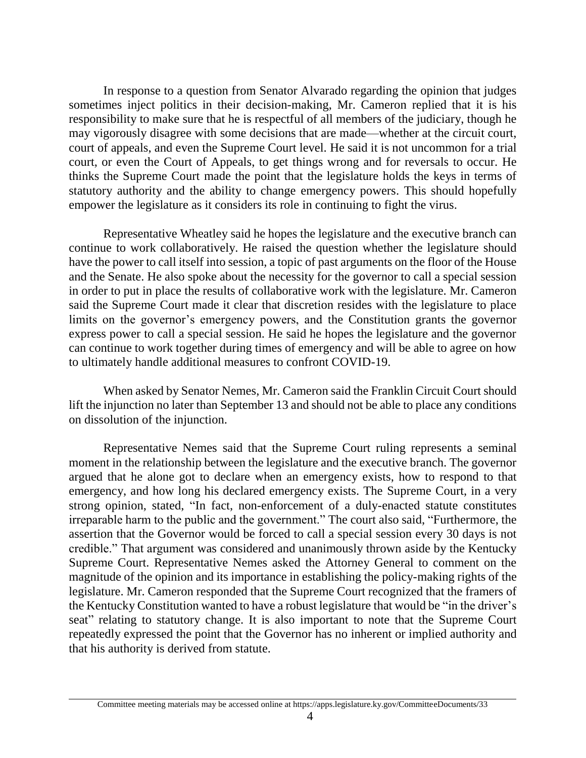In response to a question from Senator Alvarado regarding the opinion that judges sometimes inject politics in their decision-making, Mr. Cameron replied that it is his responsibility to make sure that he is respectful of all members of the judiciary, though he may vigorously disagree with some decisions that are made—whether at the circuit court, court of appeals, and even the Supreme Court level. He said it is not uncommon for a trial court, or even the Court of Appeals, to get things wrong and for reversals to occur. He thinks the Supreme Court made the point that the legislature holds the keys in terms of statutory authority and the ability to change emergency powers. This should hopefully empower the legislature as it considers its role in continuing to fight the virus.

Representative Wheatley said he hopes the legislature and the executive branch can continue to work collaboratively. He raised the question whether the legislature should have the power to call itself into session, a topic of past arguments on the floor of the House and the Senate. He also spoke about the necessity for the governor to call a special session in order to put in place the results of collaborative work with the legislature. Mr. Cameron said the Supreme Court made it clear that discretion resides with the legislature to place limits on the governor's emergency powers, and the Constitution grants the governor express power to call a special session. He said he hopes the legislature and the governor can continue to work together during times of emergency and will be able to agree on how to ultimately handle additional measures to confront COVID-19.

When asked by Senator Nemes, Mr. Cameron said the Franklin Circuit Court should lift the injunction no later than September 13 and should not be able to place any conditions on dissolution of the injunction.

Representative Nemes said that the Supreme Court ruling represents a seminal moment in the relationship between the legislature and the executive branch. The governor argued that he alone got to declare when an emergency exists, how to respond to that emergency, and how long his declared emergency exists. The Supreme Court, in a very strong opinion, stated, "In fact, non-enforcement of a duly-enacted statute constitutes irreparable harm to the public and the government." The court also said, "Furthermore, the assertion that the Governor would be forced to call a special session every 30 days is not credible." That argument was considered and unanimously thrown aside by the Kentucky Supreme Court. Representative Nemes asked the Attorney General to comment on the magnitude of the opinion and its importance in establishing the policy-making rights of the legislature. Mr. Cameron responded that the Supreme Court recognized that the framers of the Kentucky Constitution wanted to have a robust legislature that would be "in the driver's seat" relating to statutory change. It is also important to note that the Supreme Court repeatedly expressed the point that the Governor has no inherent or implied authority and that his authority is derived from statute.

Committee meeting materials may be accessed online at https://apps.legislature.ky.gov/CommitteeDocuments/33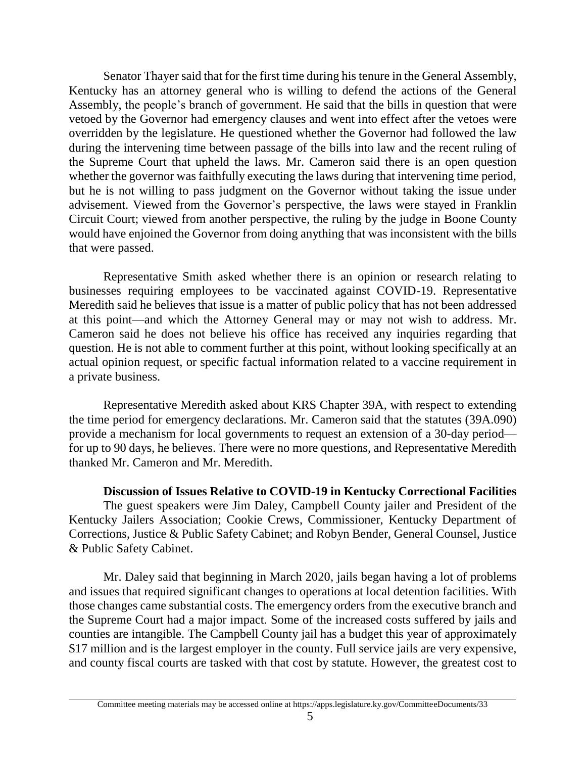Senator Thayer said that for the first time during his tenure in the General Assembly, Kentucky has an attorney general who is willing to defend the actions of the General Assembly, the people's branch of government. He said that the bills in question that were vetoed by the Governor had emergency clauses and went into effect after the vetoes were overridden by the legislature. He questioned whether the Governor had followed the law during the intervening time between passage of the bills into law and the recent ruling of the Supreme Court that upheld the laws. Mr. Cameron said there is an open question whether the governor was faithfully executing the laws during that intervening time period, but he is not willing to pass judgment on the Governor without taking the issue under advisement. Viewed from the Governor's perspective, the laws were stayed in Franklin Circuit Court; viewed from another perspective, the ruling by the judge in Boone County would have enjoined the Governor from doing anything that was inconsistent with the bills that were passed.

Representative Smith asked whether there is an opinion or research relating to businesses requiring employees to be vaccinated against COVID-19. Representative Meredith said he believes that issue is a matter of public policy that has not been addressed at this point—and which the Attorney General may or may not wish to address. Mr. Cameron said he does not believe his office has received any inquiries regarding that question. He is not able to comment further at this point, without looking specifically at an actual opinion request, or specific factual information related to a vaccine requirement in a private business.

Representative Meredith asked about KRS Chapter 39A, with respect to extending the time period for emergency declarations. Mr. Cameron said that the statutes (39A.090) provide a mechanism for local governments to request an extension of a 30-day period for up to 90 days, he believes. There were no more questions, and Representative Meredith thanked Mr. Cameron and Mr. Meredith.

# **Discussion of Issues Relative to COVID-19 in Kentucky Correctional Facilities**

The guest speakers were Jim Daley, Campbell County jailer and President of the Kentucky Jailers Association; Cookie Crews, Commissioner, Kentucky Department of Corrections, Justice & Public Safety Cabinet; and Robyn Bender, General Counsel, Justice & Public Safety Cabinet.

Mr. Daley said that beginning in March 2020, jails began having a lot of problems and issues that required significant changes to operations at local detention facilities. With those changes came substantial costs. The emergency orders from the executive branch and the Supreme Court had a major impact. Some of the increased costs suffered by jails and counties are intangible. The Campbell County jail has a budget this year of approximately \$17 million and is the largest employer in the county. Full service jails are very expensive, and county fiscal courts are tasked with that cost by statute. However, the greatest cost to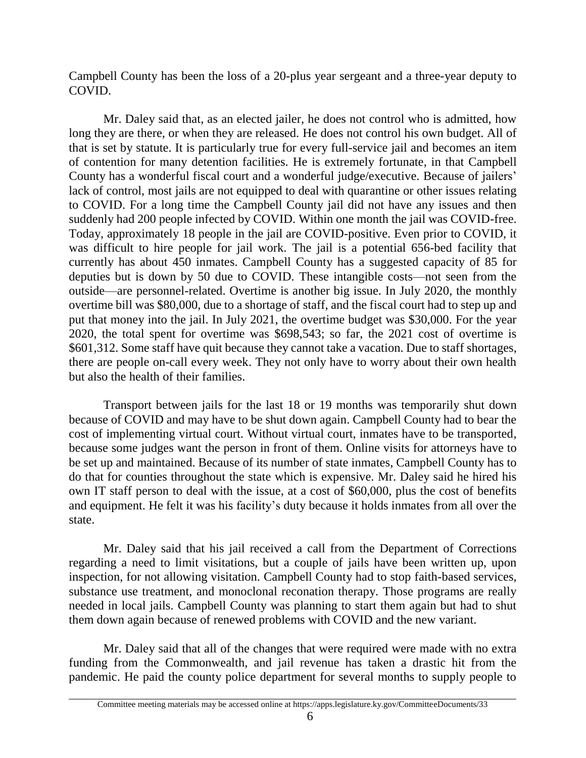Campbell County has been the loss of a 20-plus year sergeant and a three-year deputy to COVID.

Mr. Daley said that, as an elected jailer, he does not control who is admitted, how long they are there, or when they are released. He does not control his own budget. All of that is set by statute. It is particularly true for every full-service jail and becomes an item of contention for many detention facilities. He is extremely fortunate, in that Campbell County has a wonderful fiscal court and a wonderful judge/executive. Because of jailers' lack of control, most jails are not equipped to deal with quarantine or other issues relating to COVID. For a long time the Campbell County jail did not have any issues and then suddenly had 200 people infected by COVID. Within one month the jail was COVID-free. Today, approximately 18 people in the jail are COVID-positive. Even prior to COVID, it was difficult to hire people for jail work. The jail is a potential 656-bed facility that currently has about 450 inmates. Campbell County has a suggested capacity of 85 for deputies but is down by 50 due to COVID. These intangible costs—not seen from the outside—are personnel-related. Overtime is another big issue. In July 2020, the monthly overtime bill was \$80,000, due to a shortage of staff, and the fiscal court had to step up and put that money into the jail. In July 2021, the overtime budget was \$30,000. For the year 2020, the total spent for overtime was \$698,543; so far, the 2021 cost of overtime is \$601,312. Some staff have quit because they cannot take a vacation. Due to staff shortages, there are people on-call every week. They not only have to worry about their own health but also the health of their families.

Transport between jails for the last 18 or 19 months was temporarily shut down because of COVID and may have to be shut down again. Campbell County had to bear the cost of implementing virtual court. Without virtual court, inmates have to be transported, because some judges want the person in front of them. Online visits for attorneys have to be set up and maintained. Because of its number of state inmates, Campbell County has to do that for counties throughout the state which is expensive. Mr. Daley said he hired his own IT staff person to deal with the issue, at a cost of \$60,000, plus the cost of benefits and equipment. He felt it was his facility's duty because it holds inmates from all over the state.

Mr. Daley said that his jail received a call from the Department of Corrections regarding a need to limit visitations, but a couple of jails have been written up, upon inspection, for not allowing visitation. Campbell County had to stop faith-based services, substance use treatment, and monoclonal reconation therapy. Those programs are really needed in local jails. Campbell County was planning to start them again but had to shut them down again because of renewed problems with COVID and the new variant.

Mr. Daley said that all of the changes that were required were made with no extra funding from the Commonwealth, and jail revenue has taken a drastic hit from the pandemic. He paid the county police department for several months to supply people to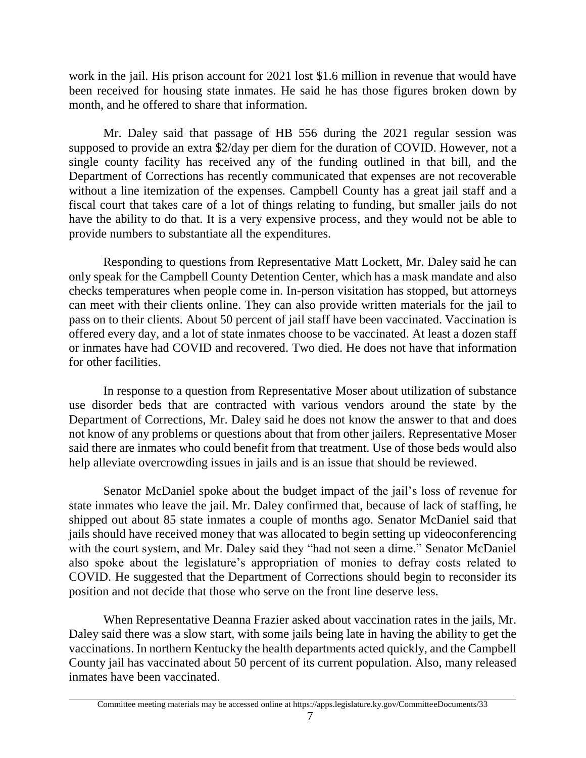work in the jail. His prison account for 2021 lost \$1.6 million in revenue that would have been received for housing state inmates. He said he has those figures broken down by month, and he offered to share that information.

Mr. Daley said that passage of HB 556 during the 2021 regular session was supposed to provide an extra \$2/day per diem for the duration of COVID. However, not a single county facility has received any of the funding outlined in that bill, and the Department of Corrections has recently communicated that expenses are not recoverable without a line itemization of the expenses. Campbell County has a great jail staff and a fiscal court that takes care of a lot of things relating to funding, but smaller jails do not have the ability to do that. It is a very expensive process, and they would not be able to provide numbers to substantiate all the expenditures.

Responding to questions from Representative Matt Lockett, Mr. Daley said he can only speak for the Campbell County Detention Center, which has a mask mandate and also checks temperatures when people come in. In-person visitation has stopped, but attorneys can meet with their clients online. They can also provide written materials for the jail to pass on to their clients. About 50 percent of jail staff have been vaccinated. Vaccination is offered every day, and a lot of state inmates choose to be vaccinated. At least a dozen staff or inmates have had COVID and recovered. Two died. He does not have that information for other facilities.

In response to a question from Representative Moser about utilization of substance use disorder beds that are contracted with various vendors around the state by the Department of Corrections, Mr. Daley said he does not know the answer to that and does not know of any problems or questions about that from other jailers. Representative Moser said there are inmates who could benefit from that treatment. Use of those beds would also help alleviate overcrowding issues in jails and is an issue that should be reviewed.

Senator McDaniel spoke about the budget impact of the jail's loss of revenue for state inmates who leave the jail. Mr. Daley confirmed that, because of lack of staffing, he shipped out about 85 state inmates a couple of months ago. Senator McDaniel said that jails should have received money that was allocated to begin setting up videoconferencing with the court system, and Mr. Daley said they "had not seen a dime." Senator McDaniel also spoke about the legislature's appropriation of monies to defray costs related to COVID. He suggested that the Department of Corrections should begin to reconsider its position and not decide that those who serve on the front line deserve less.

When Representative Deanna Frazier asked about vaccination rates in the jails, Mr. Daley said there was a slow start, with some jails being late in having the ability to get the vaccinations. In northern Kentucky the health departments acted quickly, and the Campbell County jail has vaccinated about 50 percent of its current population. Also, many released inmates have been vaccinated.

Committee meeting materials may be accessed online at https://apps.legislature.ky.gov/CommitteeDocuments/33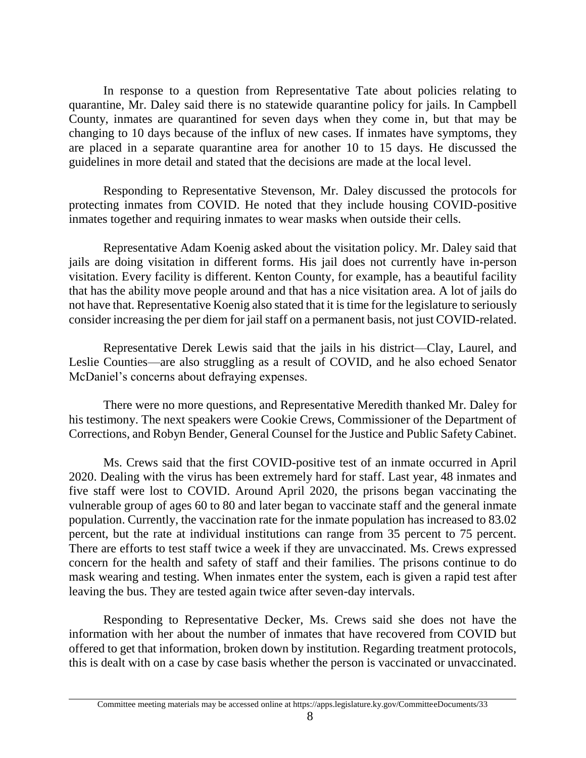In response to a question from Representative Tate about policies relating to quarantine, Mr. Daley said there is no statewide quarantine policy for jails. In Campbell County, inmates are quarantined for seven days when they come in, but that may be changing to 10 days because of the influx of new cases. If inmates have symptoms, they are placed in a separate quarantine area for another 10 to 15 days. He discussed the guidelines in more detail and stated that the decisions are made at the local level.

Responding to Representative Stevenson, Mr. Daley discussed the protocols for protecting inmates from COVID. He noted that they include housing COVID-positive inmates together and requiring inmates to wear masks when outside their cells.

Representative Adam Koenig asked about the visitation policy. Mr. Daley said that jails are doing visitation in different forms. His jail does not currently have in-person visitation. Every facility is different. Kenton County, for example, has a beautiful facility that has the ability move people around and that has a nice visitation area. A lot of jails do not have that. Representative Koenig also stated that it is time for the legislature to seriously consider increasing the per diem for jail staff on a permanent basis, not just COVID-related.

Representative Derek Lewis said that the jails in his district—Clay, Laurel, and Leslie Counties—are also struggling as a result of COVID, and he also echoed Senator McDaniel's concerns about defraying expenses.

There were no more questions, and Representative Meredith thanked Mr. Daley for his testimony. The next speakers were Cookie Crews, Commissioner of the Department of Corrections, and Robyn Bender, General Counsel for the Justice and Public Safety Cabinet.

Ms. Crews said that the first COVID-positive test of an inmate occurred in April 2020. Dealing with the virus has been extremely hard for staff. Last year, 48 inmates and five staff were lost to COVID. Around April 2020, the prisons began vaccinating the vulnerable group of ages 60 to 80 and later began to vaccinate staff and the general inmate population. Currently, the vaccination rate for the inmate population has increased to 83.02 percent, but the rate at individual institutions can range from 35 percent to 75 percent. There are efforts to test staff twice a week if they are unvaccinated. Ms. Crews expressed concern for the health and safety of staff and their families. The prisons continue to do mask wearing and testing. When inmates enter the system, each is given a rapid test after leaving the bus. They are tested again twice after seven-day intervals.

Responding to Representative Decker, Ms. Crews said she does not have the information with her about the number of inmates that have recovered from COVID but offered to get that information, broken down by institution. Regarding treatment protocols, this is dealt with on a case by case basis whether the person is vaccinated or unvaccinated.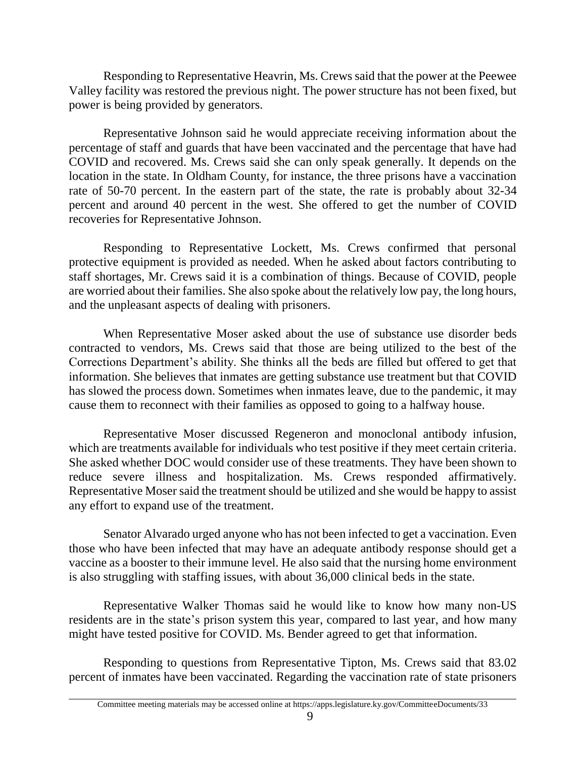Responding to Representative Heavrin, Ms. Crews said that the power at the Peewee Valley facility was restored the previous night. The power structure has not been fixed, but power is being provided by generators.

Representative Johnson said he would appreciate receiving information about the percentage of staff and guards that have been vaccinated and the percentage that have had COVID and recovered. Ms. Crews said she can only speak generally. It depends on the location in the state. In Oldham County, for instance, the three prisons have a vaccination rate of 50-70 percent. In the eastern part of the state, the rate is probably about 32-34 percent and around 40 percent in the west. She offered to get the number of COVID recoveries for Representative Johnson.

Responding to Representative Lockett, Ms. Crews confirmed that personal protective equipment is provided as needed. When he asked about factors contributing to staff shortages, Mr. Crews said it is a combination of things. Because of COVID, people are worried about their families. She also spoke about the relatively low pay, the long hours, and the unpleasant aspects of dealing with prisoners.

When Representative Moser asked about the use of substance use disorder beds contracted to vendors, Ms. Crews said that those are being utilized to the best of the Corrections Department's ability. She thinks all the beds are filled but offered to get that information. She believes that inmates are getting substance use treatment but that COVID has slowed the process down. Sometimes when inmates leave, due to the pandemic, it may cause them to reconnect with their families as opposed to going to a halfway house.

Representative Moser discussed Regeneron and monoclonal antibody infusion, which are treatments available for individuals who test positive if they meet certain criteria. She asked whether DOC would consider use of these treatments. They have been shown to reduce severe illness and hospitalization. Ms. Crews responded affirmatively. Representative Moser said the treatment should be utilized and she would be happy to assist any effort to expand use of the treatment.

Senator Alvarado urged anyone who has not been infected to get a vaccination. Even those who have been infected that may have an adequate antibody response should get a vaccine as a booster to their immune level. He also said that the nursing home environment is also struggling with staffing issues, with about 36,000 clinical beds in the state.

Representative Walker Thomas said he would like to know how many non-US residents are in the state's prison system this year, compared to last year, and how many might have tested positive for COVID. Ms. Bender agreed to get that information.

Responding to questions from Representative Tipton, Ms. Crews said that 83.02 percent of inmates have been vaccinated. Regarding the vaccination rate of state prisoners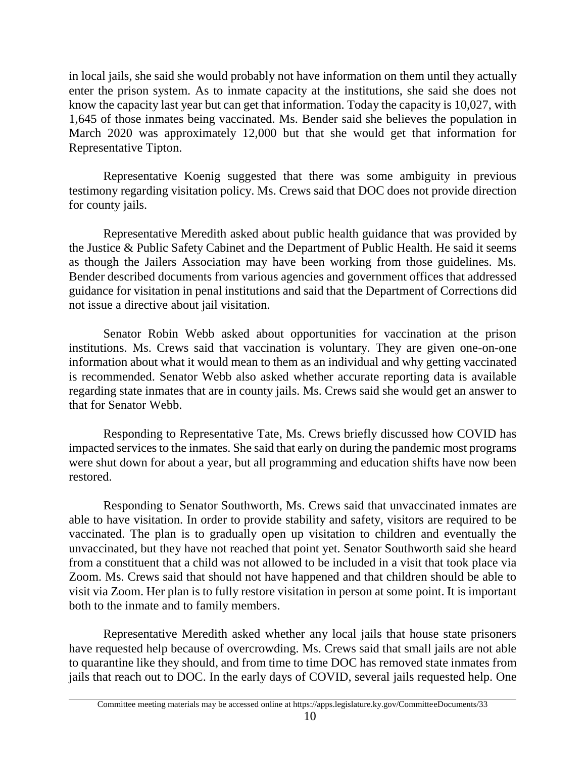in local jails, she said she would probably not have information on them until they actually enter the prison system. As to inmate capacity at the institutions, she said she does not know the capacity last year but can get that information. Today the capacity is 10,027, with 1,645 of those inmates being vaccinated. Ms. Bender said she believes the population in March 2020 was approximately 12,000 but that she would get that information for Representative Tipton.

Representative Koenig suggested that there was some ambiguity in previous testimony regarding visitation policy. Ms. Crews said that DOC does not provide direction for county jails.

Representative Meredith asked about public health guidance that was provided by the Justice & Public Safety Cabinet and the Department of Public Health. He said it seems as though the Jailers Association may have been working from those guidelines. Ms. Bender described documents from various agencies and government offices that addressed guidance for visitation in penal institutions and said that the Department of Corrections did not issue a directive about jail visitation.

Senator Robin Webb asked about opportunities for vaccination at the prison institutions. Ms. Crews said that vaccination is voluntary. They are given one-on-one information about what it would mean to them as an individual and why getting vaccinated is recommended. Senator Webb also asked whether accurate reporting data is available regarding state inmates that are in county jails. Ms. Crews said she would get an answer to that for Senator Webb.

Responding to Representative Tate, Ms. Crews briefly discussed how COVID has impacted services to the inmates. She said that early on during the pandemic most programs were shut down for about a year, but all programming and education shifts have now been restored.

Responding to Senator Southworth, Ms. Crews said that unvaccinated inmates are able to have visitation. In order to provide stability and safety, visitors are required to be vaccinated. The plan is to gradually open up visitation to children and eventually the unvaccinated, but they have not reached that point yet. Senator Southworth said she heard from a constituent that a child was not allowed to be included in a visit that took place via Zoom. Ms. Crews said that should not have happened and that children should be able to visit via Zoom. Her plan is to fully restore visitation in person at some point. It is important both to the inmate and to family members.

Representative Meredith asked whether any local jails that house state prisoners have requested help because of overcrowding. Ms. Crews said that small jails are not able to quarantine like they should, and from time to time DOC has removed state inmates from jails that reach out to DOC. In the early days of COVID, several jails requested help. One